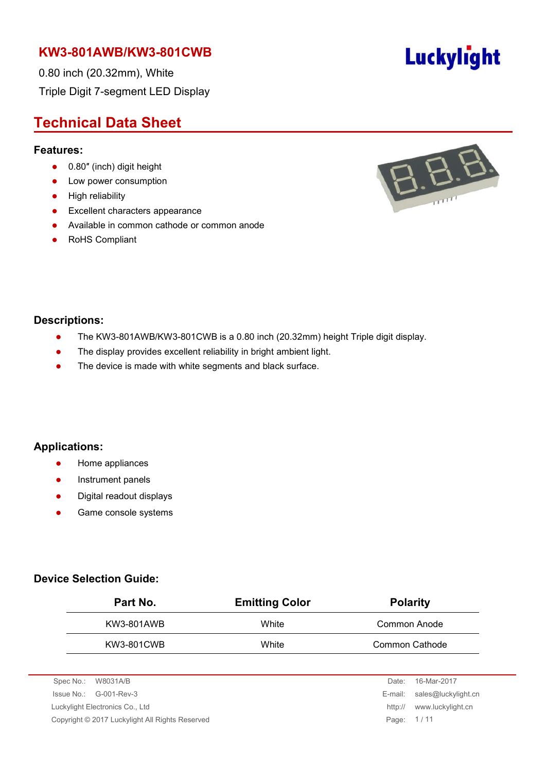0.80 inch (20.32mm), White Triple Digit 7-segment LED Display

# **Technical Data Sheet**

#### **Features:**

- 0.80" (inch) digit height
- Low power consumption
- **•** High reliability
- **Excellent characters appearance**
- Available in common cathode or common anode
- RoHS Compliant



#### **Descriptions:**

- The KW3-801AWB/KW3-801CWB is a 0.80 inch (20.32mm) height Triple digit display.
- The display provides excellent reliability in bright ambient light.
- The device is made with white segments and black surface.

#### **Applications:**

- **•** Home appliances
- Instrument panels
- Digital readout displays
- **•** Game console systems

#### **Device Selection Guide:**

| <b>Emitting Color</b> | <b>Polarity</b> |
|-----------------------|-----------------|
| White                 | Common Anode    |
| White                 | Common Cathode  |
|                       |                 |

| Spec No.: W8031A/B                              | Date:      | 16-Mar-2017                 |
|-------------------------------------------------|------------|-----------------------------|
| $\sue No.: \, G-001-Rev-3$                      |            | E-mail: sales@luckylight.cn |
| Luckylight Electronics Co., Ltd                 | http://    | www.luckylight.cn           |
| Copyright © 2017 Luckylight All Rights Reserved | Page: 1/11 |                             |
|                                                 |            |                             |

# Luckylight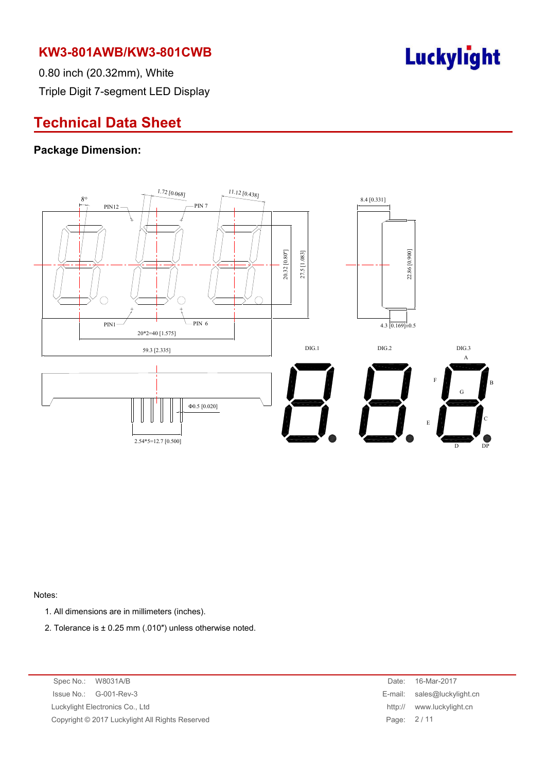

0.80 inch (20.32mm), White Triple Digit 7-segment LED Display

# **Technical Data Sheet**

#### **Package Dimension:**



Notes:

- 1. All dimensions are in millimeters (inches).
- 2. Tolerance is ± 0.25 mm (.010″) unless otherwise noted.

Spec No.: W8031A/B Date: 16-Mar-2017 Issue No.: G-001-Rev-3 Luckylight Electronics Co., Ltd Copyright © 2017 Luckylight All Rights Reserved

| Date:   | 16-Mar-2017         |
|---------|---------------------|
| E-mail: | sales@luckylight.cn |
| http:// | www.luckylight.cn   |
| Page:   | 2/11                |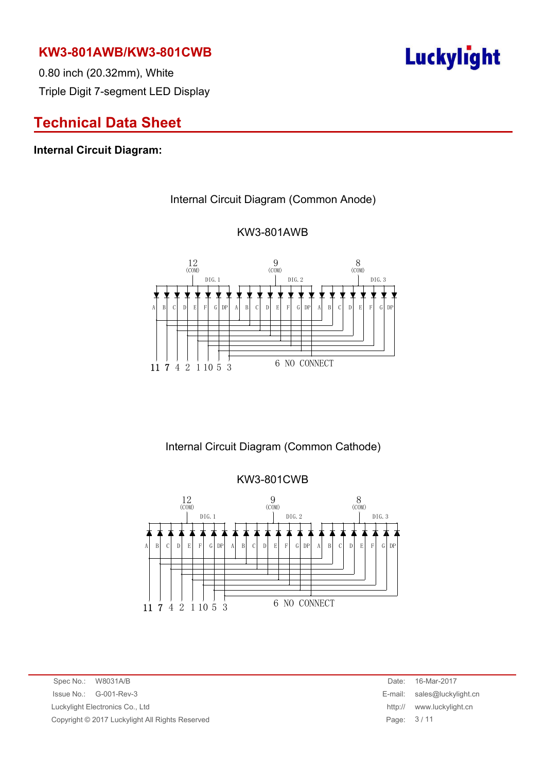0.80 inch (20.32mm), White Triple Digit 7-segment LED Display

# **Technical Data Sheet**

#### **Internal Circuit Diagram:**

#### Internal Circuit Diagram (Common Anode)



#### KW3-801AWB

### Internal Circuit Diagram (Common Cathode)

KW3-801CWB  $12$  (COM)  $\frac{9}{(COM)}$  $8$  (COM) 12 9 8 DIG.1 DIG.2 DIG.3 ≭  $D$   $E$   $F$   $G$   $DF$ A B C D E F G DP A B C D E  $F | G | DP | A | B | C$ 6 NO CONNECT11 7 4 2 1 10 5 3

Spec No.: W8031A/B Date: 16-Mar-2017 Issue No.: G-001-Rev-3 E-mail: sales@luckylight.cn Luckylight Electronics Co., Ltd **http:// www.luckylight.cn** Copyright © 2017 Luckylight All Rights Reserved Page: 3 / 11

# **Luckylight**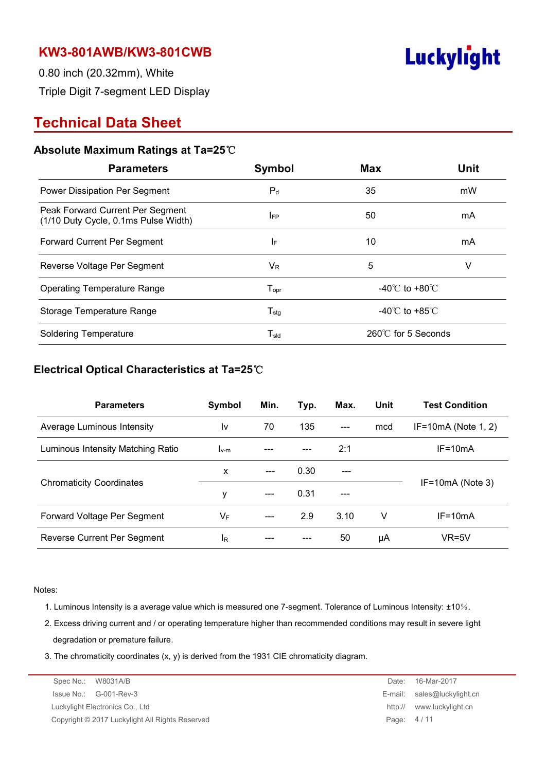

0.80 inch (20.32mm), White Triple Digit 7-segment LED Display

# **Technical Data Sheet**

#### **Absolute Maximum Ratings at Ta=25**℃

| <b>Parameters</b>                                                        | Symbol                       | Max                                | <b>Unit</b> |  |
|--------------------------------------------------------------------------|------------------------------|------------------------------------|-------------|--|
| Power Dissipation Per Segment                                            | $P_{d}$                      | 35                                 | mW          |  |
| Peak Forward Current Per Segment<br>(1/10 Duty Cycle, 0.1ms Pulse Width) | <b>IFP</b>                   | 50                                 | mA          |  |
| Forward Current Per Segment                                              | ΙF                           | 10<br>mA                           |             |  |
| Reverse Voltage Per Segment                                              | $V_{R}$                      | 5<br>V                             |             |  |
| <b>Operating Temperature Range</b>                                       | ${\mathsf T}_{\textsf{opr}}$ | $-40^{\circ}$ C to $+80^{\circ}$ C |             |  |
| Storage Temperature Range                                                | $\mathsf{T}_{\textsf{stg}}$  | -40 $\degree$ C to +85 $\degree$ C |             |  |
| <b>Soldering Temperature</b>                                             | $\mathsf{T}_{\sf sld}$       | $260^{\circ}$ C for 5 Seconds      |             |  |

#### **Electrical Optical Characteristics at Ta=25**℃

| <b>Parameters</b>                 | Symbol    | Min.  | Typ. | Max.  | Unit | <b>Test Condition</b> |
|-----------------------------------|-----------|-------|------|-------|------|-----------------------|
| Average Luminous Intensity        | I٧        | 70    | 135  | $---$ | mcd  | $IF=10mA$ (Note 1, 2) |
| Luminous Intensity Matching Ratio | $I_{V-M}$ |       |      | 2:1   |      | $IF = 10mA$           |
|                                   | X         | $---$ | 0.30 |       |      |                       |
| <b>Chromaticity Coordinates</b>   | ٧         |       | 0.31 | ---   |      | $IF=10mA$ (Note 3)    |
| Forward Voltage Per Segment       | VF        | $---$ | 2.9  | 3.10  | V    | $IF = 10mA$           |
| Reverse Current Per Segment       | IR        |       |      | 50    | μA   | $VR=5V$               |

Notes:

- 1. Luminous Intensity is a average value which is measured one 7-segment. Tolerance of Luminous Intensity: ±10%.
- 2. Excess driving current and / or operating temperature higher than recommended conditions may result in severe light degradation or premature failure.
- 3. The chromaticity coordinates (x, y) is derived from the 1931 CIE chromaticity diagram.

| Spec No.: W8031A/B                              | Date:      | 16-Mar-2017                 |
|-------------------------------------------------|------------|-----------------------------|
| $\sue No.: \, G-001-Rev-3$                      |            | E-mail: sales@luckylight.cn |
| Luckylight Electronics Co., Ltd                 | http://    | www.luckylight.cn           |
| Copyright © 2017 Luckylight All Rights Reserved | Page: 4/11 |                             |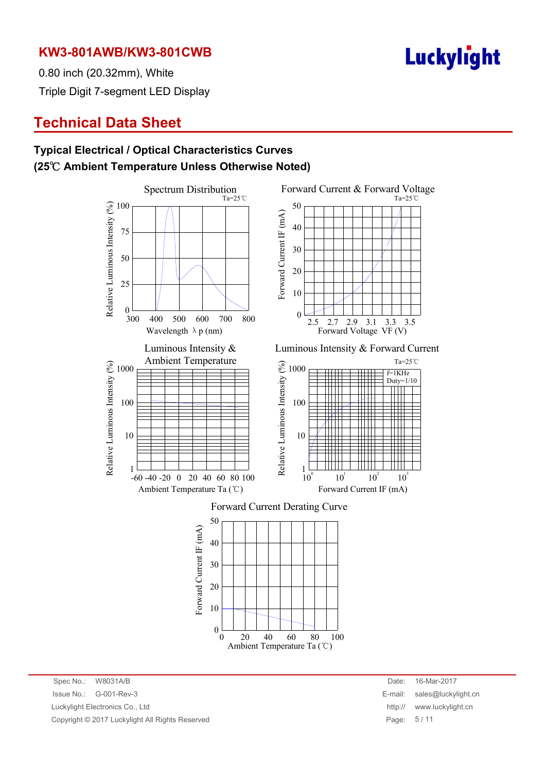

0.80 inch (20.32mm), White Triple Digit 7-segment LED Display

# **Technical Data Sheet**

### **Typical Electrical / Optical Characteristics Curves (25**℃ **Ambient Temperature Unless Otherwise Noted)**



Ambient Temperature Ta (℃)

Spec No.: W8031A/B Date: 16-Mar-2017 Issue No.: G-001-Rev-3 E-mail: sales@luckylight.cn Luckylight Electronics Co., Ltd **http:// www.luckylight.cn** http:// www.luckylight.cn Copyright © 2017 Luckylight All Rights Reserved **Page: 5** / 11

 $10^2$ 

 $10<sup>3</sup>$ 

f=1KHz Duty= $1/10$ 

Ta=25℃

 $Ta=25^\circ \text{C}$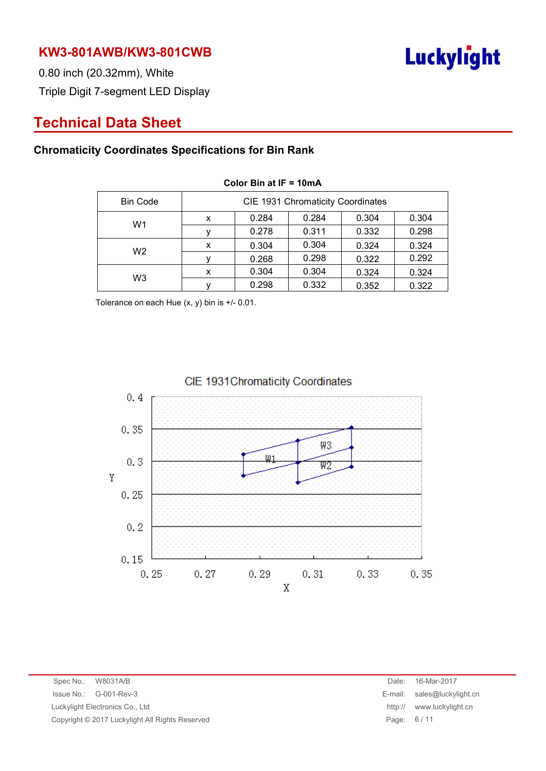

0.80 inch (20.32mm), White Triple Digit 7-segment LED Display

# **Technical Data Sheet**

### **Chromaticity Coordinates Specifications for Bin Rank**

| <b>Bin Code</b> | CIE 1931 Chromaticity Coordinates |       |       |       |       |  |
|-----------------|-----------------------------------|-------|-------|-------|-------|--|
| W1              | x                                 | 0.284 | 0.284 | 0.304 | 0.304 |  |
|                 |                                   | 0.278 | 0.311 | 0.332 | 0.298 |  |
| W <sub>2</sub>  | x                                 | 0.304 | 0.304 | 0.324 | 0.324 |  |
|                 |                                   | 0.268 | 0.298 | 0.322 | 0.292 |  |
| W3              | x                                 | 0.304 | 0.304 | 0.324 | 0.324 |  |
|                 |                                   | 0.298 | 0.332 | 0.352 | 0.322 |  |

#### **Color Bin at IF = 10mA**

Tolerance on each Hue (x, y) bin is +/- 0.01.



#### CIE 1931 Chromaticity Coordinates

Spec No.: W8031A/B Issue No.: G-001-Rev-3 Luckylight Electronics Co., Ltd Copyright © 2017 Luckylight All Rights Reserved

| Date:   | 16-Mar-2017         |
|---------|---------------------|
| E-mail: | sales@luckylight.cn |
| http:// | www.luckylight.cn   |
| Page:   | 6/11                |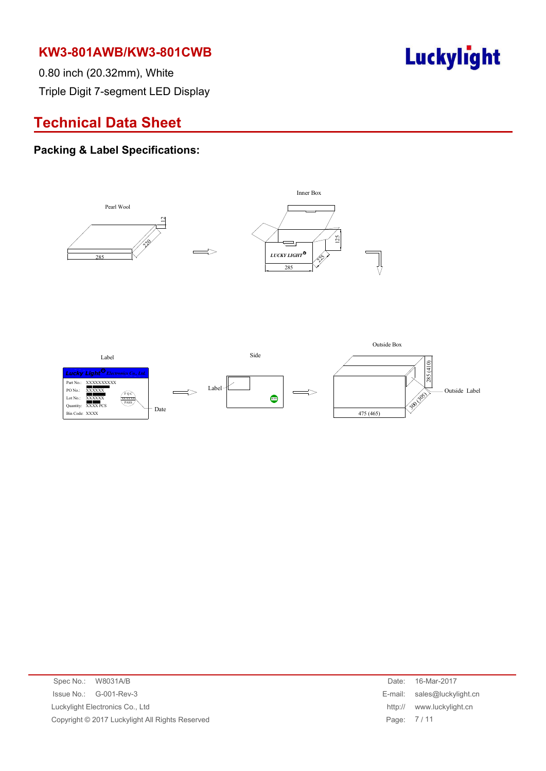

0.80 inch (20.32mm), White Triple Digit 7-segment LED Display

# **Technical Data Sheet**

#### **Packing & Label Specifications:**



| Spec No.: W8031A/B                              | Date:      | 16-Mar-2017                 |
|-------------------------------------------------|------------|-----------------------------|
| Issue No.: G-001-Rev-3                          |            | E-mail: sales@luckylight.cn |
| Luckylight Electronics Co., Ltd                 |            | http:// www.luckylight.cn   |
| Copyright © 2017 Luckylight All Rights Reserved | Page: 7/11 |                             |
|                                                 |            |                             |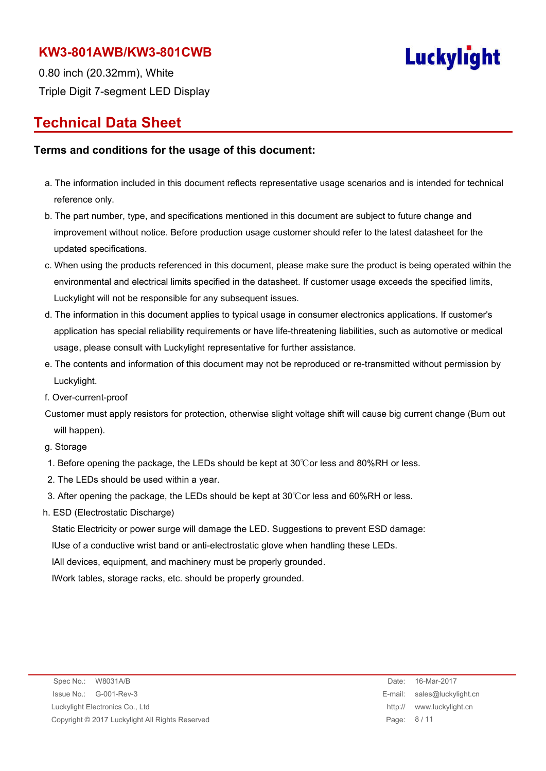

0.80 inch (20.32mm), White Triple Digit 7-segment LED Display

## **Technical Data Sheet**

#### **Terms and conditions for the usage of this document:**

- a. The information included in this document reflects representative usage scenarios and is intended for technical reference only.
- b. The part number, type, and specifications mentioned in this document are subject to future change and improvement without notice. Before production usage customer should refer to the latest datasheet for the updated specifications.
- c. When using the products referenced in this document, please make sure the product is being operated within the environmental and electrical limits specified in the datasheet. If customer usage exceeds the specified limits, Luckylight will not be responsible for any subsequent issues.
- d. The information in this document applies to typical usage in consumer electronics applications. If customer's application has special reliability requirements or have life-threatening liabilities, such as automotive or medical usage, please consult with Luckylight representative for further assistance.
- e. The contents and information of this document may not be reproduced or re-transmitted without permission by Luckylight.
- f. Over-current-proof
- Customer must apply resistors for protection, otherwise slight voltage shift will cause big current change (Burn out will happen).

#### g. Storage

- 1. Before opening the package, the LEDs should be kept at 30℃or less and 80%RH or less.
- 2. The LEDs should be used within a year.
- 3. After opening the package, the LEDs should be kept at 30℃or less and 60%RH or less.
- h. ESD (Electrostatic Discharge)

Static Electricity or power surge will damage the LED. Suggestions to prevent ESD damage:

lUse of a conductive wrist band or anti-electrostatic glove when handling these LEDs.

lAll devices, equipment, and machinery must be properly grounded.

lWork tables, storage racks, etc. should be properly grounded.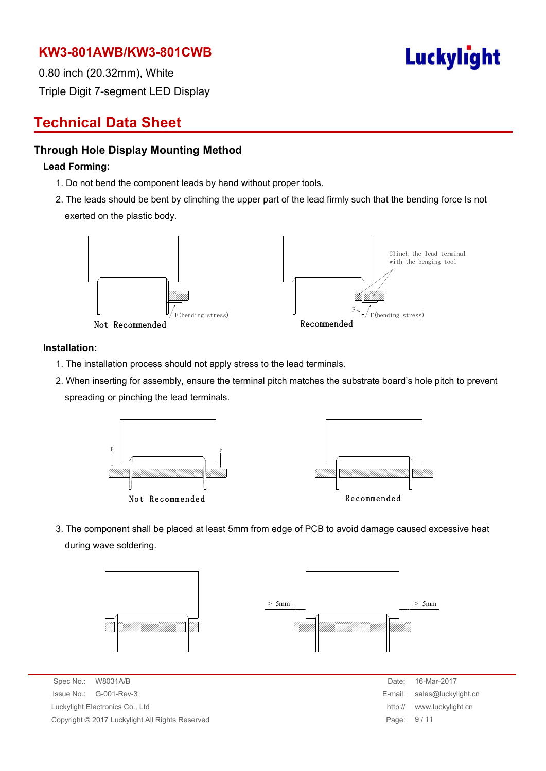

0.80 inch (20.32mm), White Triple Digit 7-segment LED Display

# **Technical Data Sheet**

#### **Through Hole Display Mounting Method**

#### **Lead Forming:**

- 1. Do not bend the component leads by hand without proper tools.
- 2. The leads should be bent by clinching the upper part of the lead firmly such that the bending force Is not exerted on the plastic body.



#### **Installation:**

- 1. The installation process should not apply stress to the lead terminals.
- 2. When inserting for assembly, ensure the terminal pitch matches the substrate board's hole pitch to prevent spreading or pinching the lead terminals.



3. The component shall be placed at least 5mm from edge of PCB to avoid damage caused excessive heat during wave soldering.



Spec No.: W8031A/B Date: 16-Mar-2017 Issue No.: G-001-Rev-3 **E-mail: sales and Security Allies Security Allies Security Allies Security Allies Security Allies Security Allies Security Allies Security Allies Security Allies Security Allies Security Allies Secu** Luckylight Electronics Co., Ltd Copyright © 2017 Luckylight All Rights Reserved

| Date:   | 16-Mar-2017         |
|---------|---------------------|
| E-mail: | sales@luckylight.cn |
| http:// | www.luckylight.cn   |
| Page:   | 9/11                |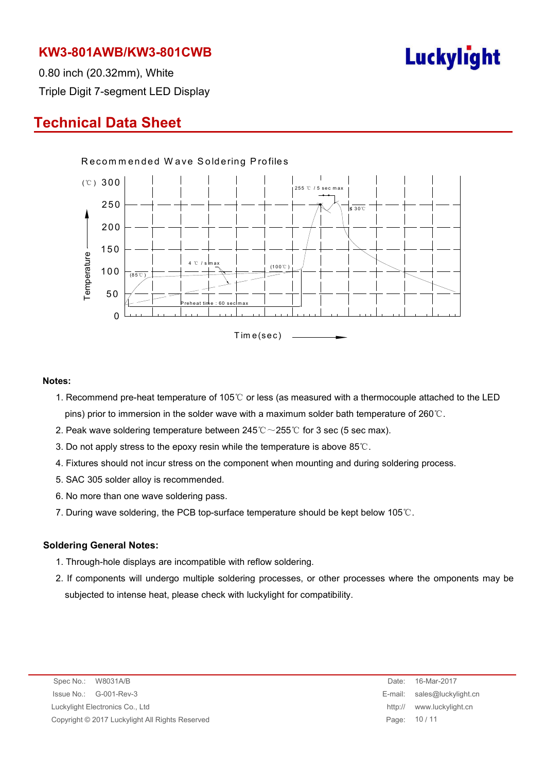

0.80 inch (20.32mm), White Triple Digit 7-segment LED Display

# **Technical Data Sheet**



#### **Notes:**

- 1. Recommend pre-heat temperature of 105℃ or less (as measured with a thermocouple attached to the LED pins) prior to immersion in the solder wave with a maximum solder bath temperature of 260℃.
- 2. Peak wave soldering temperature between  $245^{\circ}\text{C} \sim 255^{\circ}\text{C}$  for 3 sec (5 sec max).
- 3. Do not apply stress to the epoxy resin while the temperature is above 85℃.
- 4. Fixtures should not incur stress on the component when mounting and during soldering process.
- 5. SAC 305 solder alloy is recommended.
- 6. No more than one wave soldering pass.
- 7. During wave soldering, the PCB top-surface temperature should be kept below 105℃.

#### **Soldering General Notes:**

- 1. Through-hole displays are incompatible with reflow soldering.
- 2. If components will undergo multiple soldering processes, or other processes where the omponents may be subjected to intense heat, please check with luckylight for compatibility.